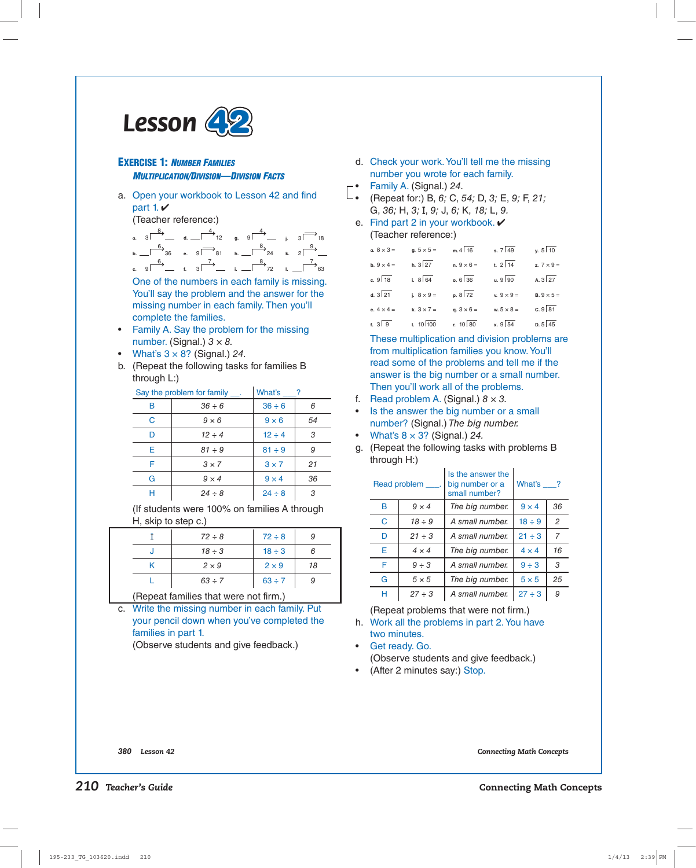

#### **EXERCISE 1:** *NUMBER FAMILIES MULTIPLICATION/DIVISION—DIVISION FACTS*

a. Open your workbook to Lesson 42 and find part 1. $\vee$ 

(Teacher reference:)

**a** 3 **d d. d** 12 **g** 9 **d j** 3 **1**8 **b.**  $\begin{array}{ccc} 6 \\ -36 \\ 81 \end{array}$  **b.**  $\begin{array}{ccc} 8 \\ -24 \\ k. \end{array}$  **c**  $\begin{array}{ccc} 9 \\ -24 \\ k. \end{array}$ **c.** 9 **f.** 3 **f** i.  $\frac{8}{2}$  i.  $\frac{7}{2}$  1.  $\frac{7}{2}$  63

 One of the numbers in each family is missing. You'll say the problem and the answer for the missing number in each family. Then you'll complete the families.

- Family A. Say the problem for the missing number. (Signal.)  $3 \times 8$ .
- What's  $3 \times 8$ ? (Signal.) 24.
- b. (Repeat the following tasks for families B through L:)

| Say the problem for family ___. |              | What's ?     |    |
|---------------------------------|--------------|--------------|----|
| B                               | $36 \div 6$  | $36 \div 6$  |    |
| C                               | $9 \times 6$ | $9 \times 6$ | 54 |
| n                               | $12 \div 4$  | $12 \div 4$  | 3  |
| Е                               | $81 \div 9$  | $81 \div 9$  | 9  |
| F                               | $3 \times 7$ | $3 \times 7$ | 21 |
| G                               | $9 \times 4$ | $9 \times 4$ | 36 |
| Н                               | $24 \div 8$  | $24 \div 8$  | 3  |

(If students were 100% on families A through H, skip to step c.)

|                                      | $72 \div 8$  | $72 \div 8$  |    |
|--------------------------------------|--------------|--------------|----|
|                                      | $18 \div 3$  | $18 \div 3$  |    |
|                                      | $2 \times 9$ | $2 \times 9$ | 18 |
|                                      | $63 \div 7$  |              |    |
| (Renest families that were not firm) |              |              |    |

(Repeat families that were not firm.) c. Write the missing number in each family. Put

your pencil down when you've completed the families in part 1.

(Observe students and give feedback.)

- d. Check your work. You'll tell me the missing number you wrote for each family.
- Family A. (Signal.) 24.
- $\vdash$  (Repeat for:) B, 6; C, 54; D, 3; E, 9; F, 21; G, 36; H, 3; I, 9; J, 6; K, 18; L, 9.

#### e. Find part 2 in your workbook.  $\vee$ (Teacher reference:)

| a. $8 \times 3 =$        | $a. 5 \times 5 =$ | $m.4\sqrt{16}$    | s. $7\sqrt{49}$   | $\sqrt{510}$      |
|--------------------------|-------------------|-------------------|-------------------|-------------------|
| <b>b.</b> $9 \times 4 =$ | $h. 3\sqrt{27}$   | n. $9 \times 6 =$ | t. $2\sqrt{14}$   | z. $7 \times 9 =$ |
| c. $9\sqrt{18}$          | $1.8\sqrt{64}$    | $0.6\sqrt{36}$    | $u. 9$ 90         | $A. 3\sqrt{27}$   |
| d. $3\sqrt{21}$          | i. $8 \times 9 =$ | $p. 8\sqrt{72}$   | v. $9 \times 9 =$ | $B.9 \times 5 =$  |
| e. $4 \times 4 =$        | k. $3 \times 7 =$ | q. $3 \times 6 =$ | w. $5 \times 8 =$ | $c.9\sqrt{81}$    |
| f. $3 9$                 | $1.10\sqrt{100}$  | $r. 10$ 80        | $x.9$ 54          | $p.5$ 45          |

 These multiplication and division problems are from multiplication families you know. You'll read some of the problems and tell me if the answer is the big number or a small number. Then you'll work all of the problems.

- f. Read problem A. (Signal.)  $8 \times 3$ .
- Is the answer the big number or a small number? (Signal.) The big number.
- What's  $8 \times 3$ ? (Signal.) 24.
- g. (Repeat the following tasks with problems B through H:)

|   | Read problem<br><b>Contract</b> | Is the answer the<br>big number or a<br>small number? | What's $\_\$ ? |                |
|---|---------------------------------|-------------------------------------------------------|----------------|----------------|
| в | $9 \times 4$                    | The big number.                                       | $9 \times 4$   | 36             |
| C | $18 \div 9$                     | A small number.                                       | $18 \div 9$    | $\overline{c}$ |
| D | $21 \div 3$                     | A small number.                                       | $21 \div 3$    | 7              |
| E | $4 \times 4$                    | The big number.                                       | $4 \times 4$   | 16             |
| F | $9 \div 3$                      | A small number.                                       | $9 \div 3$     | 3              |
| G | $5 \times 5$                    | The big number.                                       | $5 \times 5$   | 25             |
| н | $27 \div 3$                     | A small number.                                       | $27 \div 3$    | 9              |

(Repeat problems that were not firm.)

- h. Work all the problems in part 2. You have two minutes.
- Get ready. Go.

(Observe students and give feedback.)

(After 2 minutes say:) Stop.

*380 Lesson 42 Connecting Math Concepts*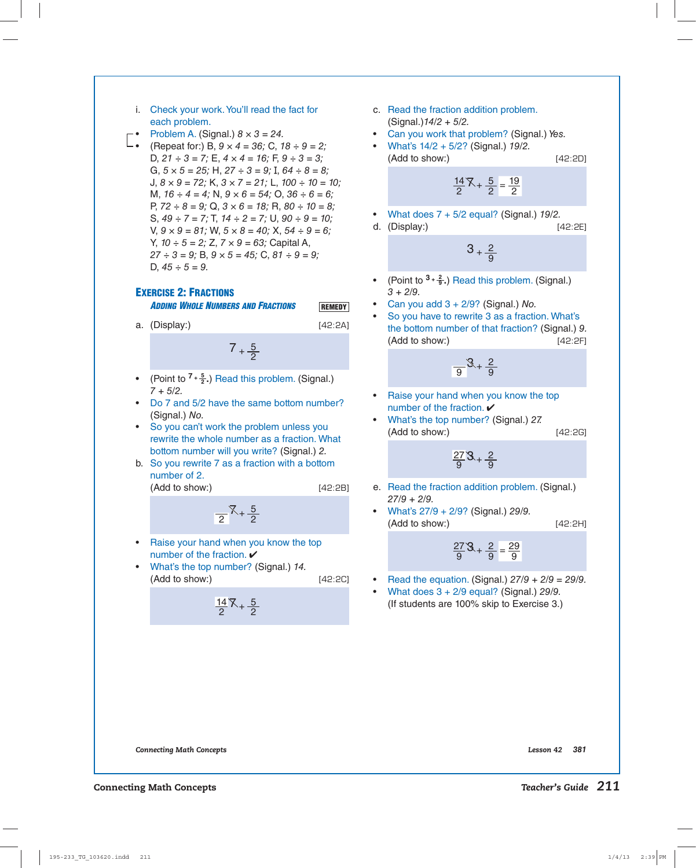#### i. Check your work. You'll read the fact for each problem.

- Problem A. (Signal.)  $8 \times 3 = 24$ .
- **L.** (Repeat for:) B,  $9 \times 4 = 36$ ; C,  $18 \div 9 = 2$ ; D,  $21 \div 3 = 7$ ; E,  $4 \times 4 = 16$ ; F,  $9 \div 3 = 3$ ; G,  $5 \times 5 = 25$ ; H,  $27 \div 3 = 9$ ; I,  $64 \div 8 = 8$ ; J,  $8 \times 9 = 72$ ; K,  $3 \times 7 = 21$ ; L,  $100 \div 10 = 10$ ; M,  $16 \div 4 = 4$ ; N,  $9 \times 6 = 54$ ; O,  $36 \div 6 = 6$ ; P,  $72 \div 8 = 9$ ; Q,  $3 \times 6 = 18$ ; R,  $80 \div 10 = 8$ ; S,  $49 \div 7 = 7$ ; T,  $14 \div 2 = 7$ ; U,  $90 \div 9 = 10$ ; V,  $9 \times 9 = 81$ ; W,  $5 \times 8 = 40$ ; X,  $54 \div 9 = 6$ ; Y,  $10 \div 5 = 2$ ; Z,  $7 \times 9 = 63$ ; Capital A,  $27 \div 3 = 9$ ; B,  $9 \times 5 = 45$ ; C,  $81 \div 9 = 9$ ; D,  $45 \div 5 = 9$ .

## **EXERCISE 2: FRACTIONS**

 *ADDING WHOLE NUMBERS AND FRACTIONS*

a. (Display:) [42:2A]

**REMEDY**

 $7 + \frac{5}{2}$ 

- (Point to **<sup>7</sup> <sup>+</sup> <sup>5</sup> <sup>2</sup> .**) Read this problem. (Signal.)  $7 + 5/2.$
- Do 7 and 5/2 have the same bottom number? (Signal.) No.
- So you can't work the problem unless you rewrite the whole number as a fraction. What bottom number will you write? (Signal.) 2.
- b. So you rewrite 7 as a fraction with a bottom number of 2.

(Add to show:) [42:2B]

 $\frac{1}{2}$  $\frac{1}{2}$ 

- Raise your hand when you know the top number of the fraction.  $\checkmark$
- What's the top number? (Signal.) 14. (Add to show:) [42:2C]

<u>14</u>  $\frac{14}{2}$   $\frac{8}{2}$   $\frac{5}{2}$ 

- c. Read the fraction addition problem. (Signal.)14/2 + 5/2.
- Can you work that problem? (Signal.) Yes.
- What's  $14/2 + 5/2$ ? (Signal.)  $19/2$ . (Add to show:) [42:2D]

$$
\frac{14}{2} \times + \frac{5}{2} = \frac{19}{2}
$$

- What does  $7 + 5/2$  equal? (Signal.)  $19/2$ .
- d. (Display:) [42:2E]

$$
3+\frac{2}{9}
$$

- (Point to **<sup>3</sup> <sup>+</sup> <sup>2</sup> <sup>9</sup> .**) Read this problem. (Signal.)  $3 + 2/9$ .
- Can you add  $3 + 2/9$ ? (Signal.) No.
- So you have to rewrite 3 as a fraction. What's the bottom number of that fraction? (Signal.) 9. (Add to show:) [42:2F]

$$
\frac{9}{9}\mathcal{S}+\frac{2}{9}
$$

- Raise your hand when you know the top number of the fraction.  $\boldsymbol{\nu}$
- What's the top number? (Signal.) 27. (Add to show:) [42:2G]

<u>27</u>  $rac{27}{9}$ <sup>3</sup> +  $rac{2}{9}$ 

- e. Read the fraction addition problem. (Signal.) 27/9 + 2/9.
- What's  $27/9 + 2/9$ ? (Signal.) 29/9. (Add to show:) [42:2H]

$$
\frac{27}{9}3 + \frac{2}{9} = \frac{29}{9}
$$

- Read the equation. (Signal.)  $27/9 + 2/9 = 29/9$ .
- What does  $3 + 2/9$  equal? (Signal.) 29/9. (If students are 100% skip to Exercise 3.)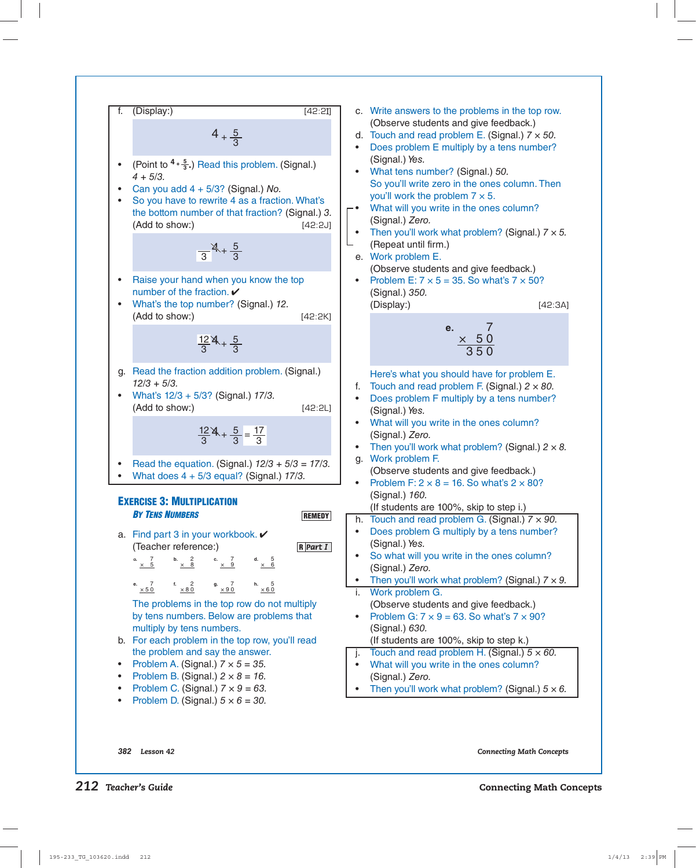| f. (Display):                                                           | $4 + \frac{5}{3}$ | (A0bserve students and give feedback.) |
|-------------------------------------------------------------------------|-------------------|----------------------------------------|
| • (Point to $4 \cdot \frac{4}{3}$ .) Read this problem. (Signal), 17/3. | 142:24            |                                        |
| • (Point to $4 \cdot \frac{4}{3}$ .) Read this problem. (Signal), 3/2   | 142:24            |                                        |
| • (Add to show.)                                                        | 142:24            |                                        |
| • (Add to show.)                                                        | 142:24            |                                        |
| • (Add to show.)                                                        | 142:24            |                                        |
| • (Add to show.)                                                        | 142:24            |                                        |
| • (Add to show.)                                                        | 142:24            |                                        |
| • (Add to show.)                                                        | 142:24            |                                        |
| • (Add to show.)                                                        | 142:24            |                                        |
| • (Add to show.)                                                        | 142:24            |                                        |
| • (Add to show.)                                                        | 142:24            |                                        |
| • (Add to show.)                                                        | 142:24            |                                        |
| • (Add to show.)                                                        | 142:24            |                                        |
| • (Add to show.)                                                        | 142:24            |                                        |
| • (Add to show.)                                                        | 142:24            |                                        |
| • (Add to show.)                                                        | 142:24            |                                        |
| • (Add to show.)                                                        | 142:24            |                                        |
| • (Add to show.)                                                        | 142:24            |                                        |
| • (Add to show.)                                                        | 142:24            |                                        |
| • (Add to show.)                                                        | 142:24            |                                        |
| • (Add to show.)                                                        | 142:24            |                                        |
|                                                                         |                   |                                        |

*382 Lesson 42 Connecting Math Concepts*

 $(Signal.)$  50.

× 5 0 3 5 0  $[42:3A]$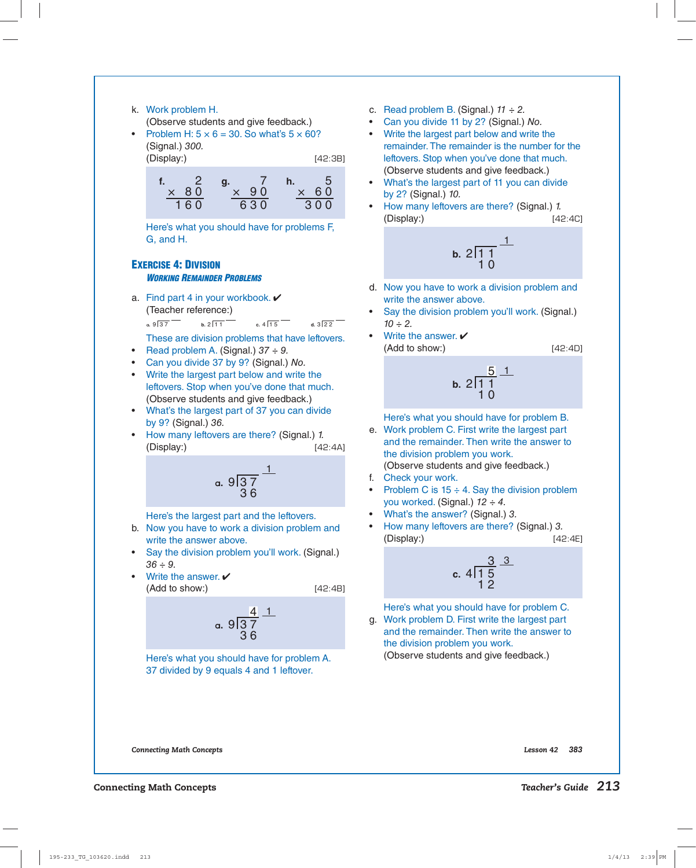#### k. Work problem H.

(Observe students and give feedback.)

Problem H:  $5 \times 6 = 30$ . So what's  $5 \times 60$ ? (Signal.) 300. (Display:) [42:3B]

> **f.** 2 × 8 0 1 6 0 **g.** 7 × 9 0 6 3 0 **h.** 5 × 6 0 3 0 0

 Here's what you should have for problems F, G, and H.

### **EXERCISE 4: DIVISION**  *WORKING REMAINDER PROBLEMS*

a. Find part 4 in your workbook.  $\vee$ (Teacher reference:)

**a**  $9\overline{)37}$  **b.**  $2\overline{11}$  **c.**  $4\overline{15}$  **d.**  $3\overline{22}$ 

These are division problems that have leftovers.

- Read problem A. (Signal.)  $37 \div 9$ .
- Can you divide 37 by 9? (Signal.) No.
- Write the largest part below and write the leftovers. Stop when you've done that much. (Observe students and give feedback.)
- What's the largest part of 37 you can divide by 9? (Signal.) 36.
- **by 9? (Signal.) 36.**<br>• How many leftovers are there? (Signal.) *1.* (Display:) [42:4A]



Here's the largest part and the leftovers.

- b. Now you have to work a division problem and write the answer above.
- Say the division problem you'll work. (Signal.)  $36 \div 9$ .
- $(Add to show: )$  [42:4B] • Write the answer.  $\checkmark$

$$
\begin{array}{c}\n 4 \\
4 \\
\hline\n 36\n \end{array}
$$

 Here's what you should have for problem A. 37 divided by 9 equals 4 and 1 leftover.

- c. Read problem B. (Signal.)  $11 \div 2$ .
- Can you divide 11 by 2? (Signal.) No.
- Write the largest part below and write the remainder. The remainder is the number for the leftovers. Stop when you've done that much. (Observe students and give feedback.)
- What's the largest part of 11 you can divide by 2? (Signal.) 10.
- How many leftovers are there? (Signal.) 1. (Display:) [42:4C]

b. 
$$
2\sqrt{11}
$$
  
10

- d. Now you have to work a division problem and write the answer above.
- Say the division problem you'll work. (Signal.)  $10 - 2.$
- Write the answer.  $\checkmark$ (Add to show:)

$$
[42:4D]
$$

b. 
$$
2\overline{11}
$$
  
10<sup>5</sup>

Here's what you should have for problem B.

- e. Work problem C. First write the largest part and the remainder. Then write the answer to the division problem you work.
	- (Observe students and give feedback.)
- f. Check your work.
- Problem C is  $15 \div 4$ . Say the division problem you worked. (Signal.)  $12 \div 4$ .
- What's the answer? (Signal.) 3.
- How many leftovers are there? (Signal.) 3. (Display:) [42:4E]

c. 
$$
4\frac{3}{15}
$$
  
12

Here's what you should have for problem C.

g. Work problem D. First write the largest part and the remainder. Then write the answer to the division problem you work.

(Observe students and give feedback.)

*Connecting Math Concepts Lesson 42 383*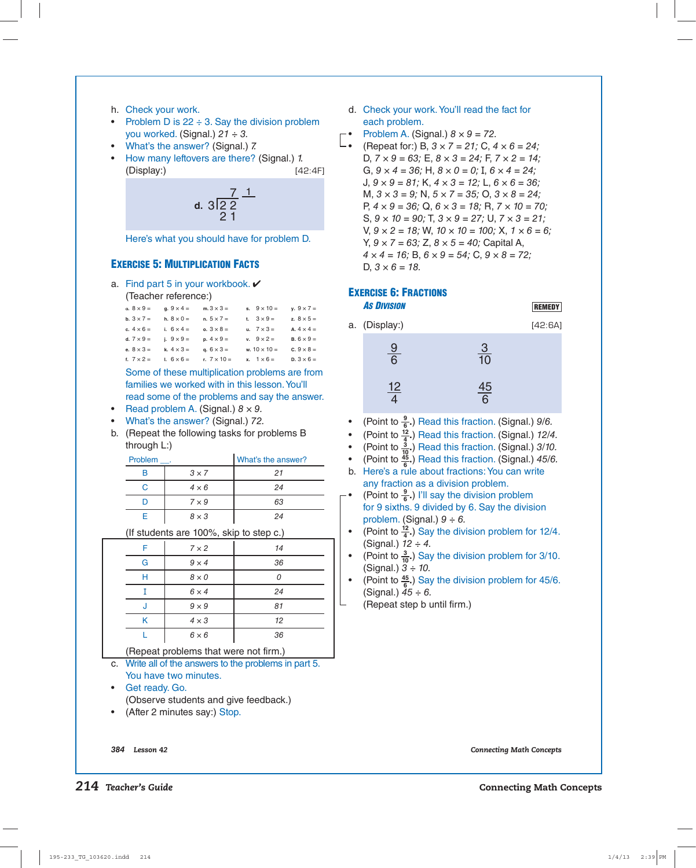- h. Check your work.
- Problem D is  $22 \div 3$ . Say the division problem you worked. (Signal.)  $21 \div 3$ .
- What's the answer? (Signal.) 7.
- How many leftovers are there? (Signal.) 1. (Display:) [42:4F]

d. 
$$
3\frac{7}{2} \frac{1}{2}
$$

Here's what you should have for problem D. **42**

## **EXERCISE 5: MULTIPLICATION FACTS**

a. Find part 5 in your workbook.  $\checkmark$ 

```
(Teacher reference:)
```

| a. $8 \times 9 =$        | g. $9 \times 4 =$ | m. $3 \times 3 =$  | s. $9 \times 10 =$      | $y. 9 \times 7 =$ |
|--------------------------|-------------------|--------------------|-------------------------|-------------------|
| <b>b.</b> $3 \times 7 =$ | h. $8 \times 0 =$ | $n. 5 \times 7 =$  | t. $3 \times 9 =$       | z. $8 \times 5 =$ |
| c. $4 \times 6 =$        | i. $6 \times 4 =$ | o. $3 \times 8 =$  | u. $7 \times 3 =$       | A. $4 \times 4 =$ |
| d. $7 \times 9 =$        | i. $9 \times 9 =$ | $p. 4 \times 9 =$  | $v. \quad 9 \times 2 =$ | $B. 6 \times 9 =$ |
| e. $8 \times 3 =$        | k. $4 \times 3 =$ | q. $6 \times 3 =$  | w. $10 \times 10 =$     | c. $9 \times 8 =$ |
| f. $7 \times 2 =$        | $1.6 \times 6 =$  | r. $7 \times 10 =$ | $x. 1 \times 6 =$       | $D.3 \times 6 =$  |

**43** families we worked with in this lesson. You'll Some of these multiplication problems are from read some of the problems and say the answer.

- Read problem A. (Signal.)  $8 \times 9$ .
- What's the answer? (Signal.) 72.
- b. (Repeat the following tasks for problems B through L:)

| Problem |              | What's the answer? |
|---------|--------------|--------------------|
| P       | $3 \times 7$ | 21                 |
|         | $4 \times 6$ | 24                 |
|         | $7 \times 9$ | 63                 |
|         | $8 \times 3$ | 24                 |

(If students are 100%, skip to step c.)  $\bullet$ 

| F          | $7 \times 2$ | 14                                                                                                              |
|------------|--------------|-----------------------------------------------------------------------------------------------------------------|
| G          | $9 \times 4$ | 36                                                                                                              |
| Н          | $8 \times 0$ |                                                                                                                 |
|            | $6 \times 4$ | 24                                                                                                              |
| J          | $9 \times 9$ | 81                                                                                                              |
| Κ          | $4 \times 3$ | 12                                                                                                              |
|            | $6 \times 6$ | 36                                                                                                              |
| $\sim$ $-$ | . .          | the contract of the contract of the contract of the contract of the contract of the contract of the contract of |

(Repeat problems that were not firm.)

- c. Write all of the answers to the problems in part 5. You have two minutes.
- Get ready. Go. (Observe students and give feedback.)
- (After 2 minutes say:) Stop.

d. Check your work. You'll read the fact for each problem.

- Problem A. (Signal.)  $8 \times 9 = 72$ .
- **4** (Repeat for:) B,  $3 \times 7 = 21$ ; C,  $4 \times 6 = 24$ ; D,  $7 \times 9 = 63$ ; E,  $8 \times 3 = 24$ ; F,  $7 \times 2 = 14$ ; G,  $9 \times 4 = 36$ ; H,  $8 \times 0 = 0$ ; I,  $6 \times 4 = 24$ ; J,  $9 \times 9 = 81$ ; K,  $4 \times 3 = 12$ ; L,  $6 \times 6 = 36$ ; M,  $3 \times 3 = 9$ ; N,  $5 \times 7 = 35$ ; O,  $3 \times 8 = 24$ ; P,  $4 \times 9 = 36$ ; Q,  $6 \times 3 = 18$ ; R,  $7 \times 10 = 70$ ; S,  $9 \times 10 = 90$ ; T,  $3 \times 9 = 27$ ; U,  $7 \times 3 = 21$ ; V,  $9 \times 2 = 18$ ; W,  $10 \times 10 = 100$ ; X,  $1 \times 6 = 6$ ; Y,  $9 \times 7 = 63$ ; Z,  $8 \times 5 = 40$ ; Capital A,  $4 \times 4 = 16$ ; B,  $6 \times 9 = 54$ ; C,  $9 \times 8 = 72$ ; D,  $3 \times 6 = 18$ .

### **EXERCISE 6: FRACTIONS**

 *AS DIVISION*



| a. (Display:) |                | [42:6A] |
|---------------|----------------|---------|
| $\frac{9}{6}$ | $\frac{3}{10}$ |         |
| <u> 12</u>    | 45<br>հ        |         |

- (Point to **<sup>9</sup> <sup>6</sup> .**) Read this fraction. (Signal.) 9/6.
- (Point to  $\frac{12}{4}$ .) Read this fraction. (Signal.) 12/4.
- (Point to  $\frac{3}{10}$ ) Read this fraction. (Signal.) 3/10.
- (Point to **<sup>45</sup> <sup>6</sup> .**) Read this fraction. (Signal.) 45/6.
- b. Here's a rule about fractions: You can write any fraction as a division problem.
- (Point to  $\frac{9}{6}$ .) I'll say the division problem for 9 sixths. 9 divided by 6. Say the division problem. (Signal.)  $9 \div 6$ .
- (Point to **<sup>12</sup> <sup>4</sup> .**) Say the division problem for 12/4. (Signal.)  $12 \div 4$ .
- (Point to **<sup>3</sup> <sup>10</sup>.**) Say the division problem for 3/10. (Signal.)  $3 \div 10$ .
- (Point to **<sup>45</sup> <sup>6</sup> .**) Say the division problem for 45/6. (Signal.)  $45 \div 6$ .
	- (Repeat step b until firm.)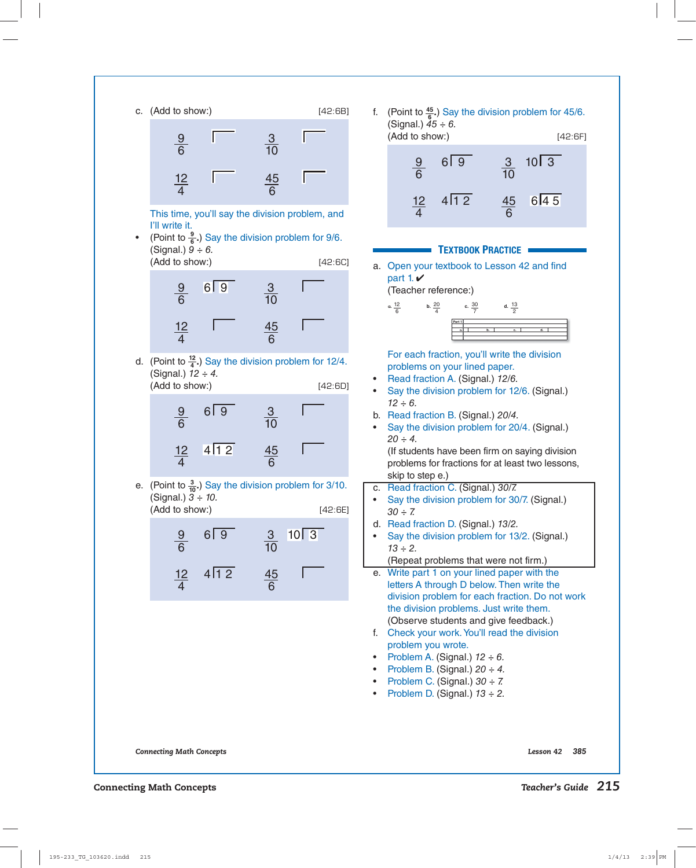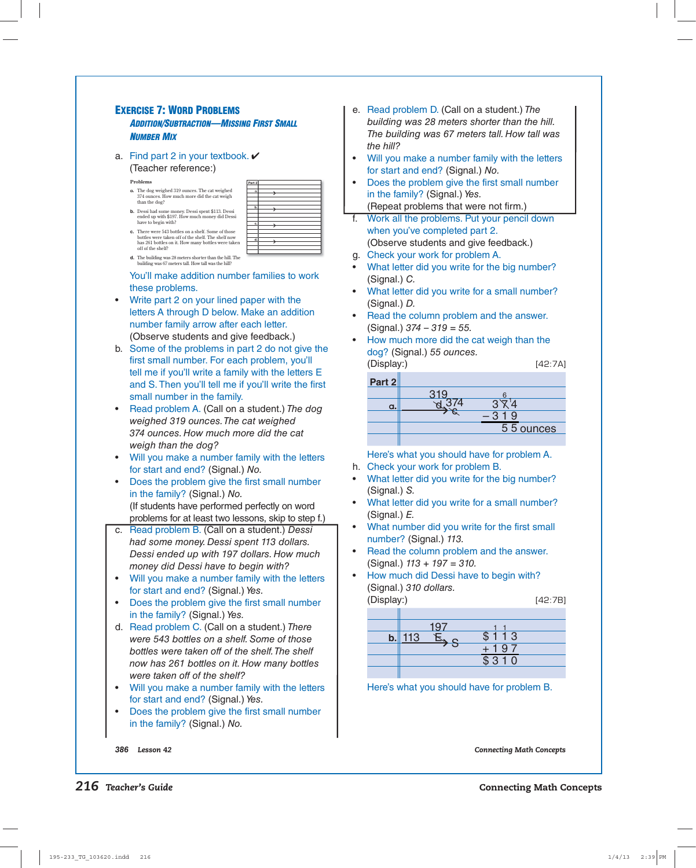#### **EXERCISE 7: WORD PROBLEMS**  *ADDITION/SUBTRACTION—MISSING FIRST SMALL NUMBER MIX*

a. Find part 2 in your textbook.  $\checkmark$ 

(Teacher reference:)

off of the shelf?

- **Problems**
- **a.** The dog weighed 319 ounces. The cat weighed 374 ounces. How much more did the cat weigh than the dog?
- **b.** Dessi had some money. Dessi spent \$113. Dessi ended up with \$197. How much money did Dessi have to begin with?

| Part 2 |  |
|--------|--|
|        |  |
| a.     |  |
|        |  |
|        |  |
|        |  |
| b.     |  |
|        |  |
|        |  |
|        |  |
| c.     |  |
|        |  |
|        |  |
|        |  |
| d.     |  |
|        |  |
|        |  |
|        |  |

**d.** The building was 28 meters shorter than the hill. The building was 67 meters tall. How tall was the hill?

**c.** There were 543 bottles on a shelf. Some of those bottles were taken off of the shelf. The shelf now has 261 bottles on it. How many bottles were taken

 You'll make addition number families to work these problems.

- Write part 2 on your lined paper with the letters A through D below. Make an addition number family arrow after each letter. (Observe students and give feedback.)
- tell me if you'll write a family with the letters  $\boldsymbol{\mathsf{E}}$ b. Some of the problems in part 2 do not give the first small number. For each problem, you'll and S. Then you'll tell me if you'll write the first small number in the family.
- Read problem A. (Call on a student.) The dog weighed 319 ounces. The cat weighed 374 ounces. How much more did the cat weigh than the dog?
- Will you make a number family with the letters for start and end? (Signal.) No.
- Does the problem give the first small number in the family? (Signal.) No. (If students have performed perfectly on word problems for at least two lessons, skip to step f.)
- c. Read problem B. (Call on a student.) Dessi had some money. Dessi spent 113 dollars. Dessi ended up with 197 dollars. How much money did Dessi have to begin with?
- Will you make a number family with the letters for start and end? (Signal.) Yes.
- Does the problem give the first small number in the family? (Signal.) Yes.
- d. Read problem C. (Call on a student.) There were 543 bottles on a shelf. Some of those bottles were taken off of the shelf. The shelf now has 261 bottles on it. How many bottles were taken off of the shelf?
- Will you make a number family with the letters for start and end? (Signal.) Yes.
- Does the problem give the first small number in the family? (Signal.) No.

e. Read problem D. (Call on a student.) The building was 28 meters shorter than the hill. The building was 67 meters tall. How tall was the hill?

- Will you make a number family with the letters for start and end? (Signal.) No.
- Does the problem give the first small number in the family? (Signal.) Yes. (Repeat problems that were not firm.)
- f. Work all the problems. Put your pencil down when you've completed part 2. (Observe students and give feedback.)
- g. Check your work for problem A.
- What letter did you write for the big number? (Signal.) C.
- What letter did you write for a small number? (Signal.) D.
- Read the column problem and the answer.  $(Signal.)$  374 – 319 = 55.
- How much more did the cat weigh than the dog? (Signal.) 55 ounces. (Display:) [42:7A]

| $\mu$      |     | 175.7 A   |
|------------|-----|-----------|
| Part $2\ $ |     |           |
|            | 319 |           |
| a.         |     |           |
|            |     | -9        |
|            |     | 55 ounces |
|            |     |           |

 Here's what you should have for problem A. h. Check your work for problem B.

- What letter did you write for the big number? (Signal.) S.
- What letter did you write for a small number? (Signal.) E.
- What number did you write for the first small number? (Signal.) 113.
- Read the column problem and the answer.  $(Signal.)$  113 + 197 = 310.
- How much did Dessi have to begin with? (Signal.) 310 dollars. (Display:)

|--|--|

| 113 | : 113            |
|-----|------------------|
|     | $\overline{197}$ |
|     | \$310            |
|     |                  |

Here's what you should have for problem B.

*386 Lesson 42 Connecting Math Concepts*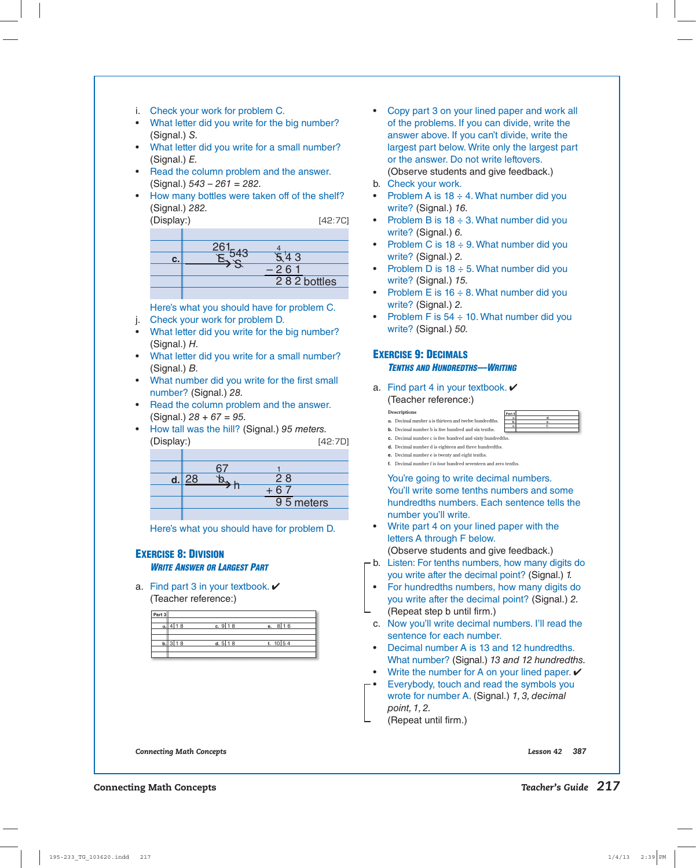i. Check your work for problem C.

- What letter did you write for the big number? (Signal.) S.
- What letter did you write for a small number? (Signal.) E.
- Read the column problem and the answer.  $(Signal.) 543 - 261 = 282.$
- How many bottles were taken off of the shelf? (Signal.) 282.

(Display:) [42:7C]

| С. | -3          |
|----|-------------|
|    | $-261$      |
|    | 282 bottles |
|    |             |

Here's what you should have for problem C.

- j. Check your work for problem D.
- What letter did you write for the big number? (Signal.) H.
- What letter did you write for a small number? (Signal.) B.
- What number did you write for the first small number? (Signal.) 28.
- Read the column problem and the answer.  $(Signal.)$  28 + 67 = 95.
- How tall was the hill? (Signal.) 95 meters. (Display:) [42:7D]

|  | 28        |  |
|--|-----------|--|
|  |           |  |
|  | 95 meters |  |
|  |           |  |

Here's what you should have for problem D.

#### **EXERCISE 8: DIVISION**  *WRITE ANSWER OR LARGEST PART*

a. Find part 3 in your textbook.  $\checkmark$ (Teacher reference:)

| Part 3 |         |                       |                       |  |
|--------|---------|-----------------------|-----------------------|--|
|        | 4 18    | c. $9$ 18             | e. $8\overline{16}$   |  |
|        | b. 3 18 | d. $5 \overline{)18}$ | f. $10\overline{)54}$ |  |
|        |         |                       |                       |  |

- Copy part 3 on your lined paper and work all of the problems. If you can divide, write the answer above. If you can't divide, write the largest part below. Write only the largest part or the answer. Do not write leftovers. (Observe students and give feedback.)
- b. Check your work.
- Problem A is  $18 \div 4$ . What number did you write? (Signal.) 16.
- Problem B is  $18 \div 3$ . What number did you write? (Signal.) 6.
- Problem C is  $18 \div 9$ . What number did you write? (Signal.) 2.
- Problem D is  $18 \div 5$ . What number did you write? (Signal.) 15.
- Problem E is  $16 \div 8$ . What number did you write? (Signal.) 2.
- Problem F is  $54 \div 10$ . What number did you write? (Signal.) 50.

## **EXERCISE 9: DECIMALS**

**Descriptions a.** Decimal number **b.** Decimal numb

#### *TENTHS AND HUNDREDTHS—WRITING*

a. Find part 4 in your textbook.  $\checkmark$ (Teacher reference:)

|                                         | Part 4 |  |
|-----------------------------------------|--------|--|
|                                         |        |  |
| er a is thirteen and twelve hundredths. |        |  |
|                                         |        |  |
| er b is five hundred and six tenths.    |        |  |
|                                         |        |  |

- **c.** Decimal number c is five hundred and sixty hundredths.
- **d.** Decimal number d is eighteen and three hundredths.
- **e.** Decimal number e is twenty and eight tenths.
- **f.** Decimal number f is four hundred seventeen and zero tenths.

You're going to write decimal numbers. You'll write some tenths numbers and some hundredths numbers. Each sentence tells the number you'll write.

- Write part 4 on your lined paper with the letters A through F below. (Observe students and give feedback.)
- $\mathsf{\Gamma}$ b. Listen: For tenths numbers, how many digits do you write after the decimal point? (Signal.) 1.
	- For hundredths numbers, how many digits do you write after the decimal point? (Signal.) 2. (Repeat step b until firm.)
	- c. Now you'll write decimal numbers. I'll read the sentence for each number.
	- Decimal number A is 13 and 12 hundredths. What number? (Signal.) 13 and 12 hundredths.
	- Write the number for A on your lined paper.  $\checkmark$
- $\vdash$  Everybody, touch and read the symbols you wrote for number A. (Signal.) 1, 3, decimal point, 1, 2.

(Repeat until firm.)

*Connecting Math Concepts Lesson 42 387*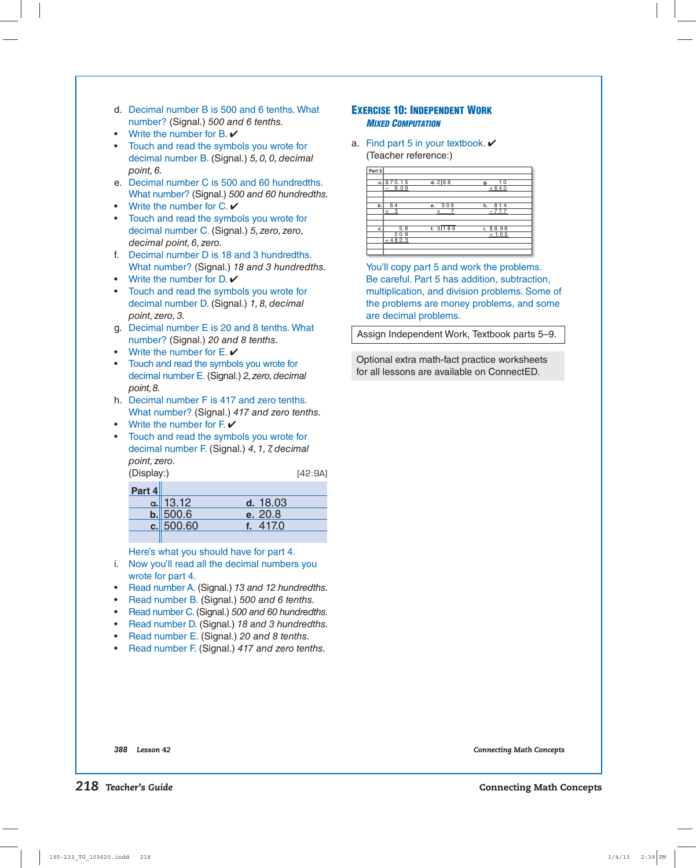- d. Decimal number B is 500 and 6 tenths. What number? (Signal.) 500 and 6 tenths.
- Write the number for  $B.$   $V$
- Touch and read the symbols you wrote for decimal number B. (Signal.) 5, 0, 0, decimal point, 6.
- e. Decimal number C is 500 and 60 hundredths. What number? (Signal.) 500 and 60 hundredths.
- Write the number for  $C \cdot \mathbf{V}$
- Touch and read the symbols you wrote for decimal number C. (Signal.) 5, zero, zero, decimal point, 6, zero.
- f. Decimal number D is 18 and 3 hundredths. What number? (Signal.) 18 and 3 hundredths.
- Write the number for  $D.$   $V$
- Touch and read the symbols you wrote for decimal number D. (Signal.) 1, 8, decimal point, zero, 3.
- g. Decimal number E is 20 and 8 tenths. What number? (Signal.) 20 and 8 tenths.
- Write the number for  $E \cdot \mathbf{V}$
- Touch and read the symbols you wrote for decimal number E. (Signal.) 2, zero, decimal point, 8.
- h. Decimal number F is 417 and zero tenths. What number? (Signal.) 417 and zero tenths.
- Write the number for  $F.$   $V$
- Touch and read the symbols you wrote for decimal number F. (Signal.) 4, 1, 7, decimal point, zero. (Display:) [42:9A]

| Part 4 |            |          |
|--------|------------|----------|
|        | $a.$ 13.12 | d. 18.03 |
|        | b.500.6    | e. 20.8  |
|        | c.500.60   | f. 417.0 |
|        |            |          |

Here's what you should have for part 4.

- i. Now you'll read all the decimal numbers you wrote for part 4.
- Read number A. (Signal.) 13 and 12 hundredths.
- Read number B. (Signal.) 500 and 6 tenths.
- Read number C. (Signal.) 500 and 60 hundredths.
- Read number D. (Signal.) 18 and 3 hundredths.
- Read number E. (Signal.) 20 and 8 tenths.
- Read number F. (Signal.) 417 and zero tenths.

#### **EXERCISE 10: INDEPENDENT WORK**  *MIXED COMPUTATION*

a. Find part 5 in your textbook.  $\checkmark$ (Teacher reference:)

| Part 5 |                         |                    |                          |
|--------|-------------------------|--------------------|--------------------------|
|        | a.870.15<br>$-9.09$     | d.268              | 10<br>α.<br>$\times$ 640 |
| b.     | 64<br>$\times$ 3        | e. 509<br>$\times$ | 8 1.4<br>h.<br>$-77.7$   |
| c.     | 5.8<br>20.9<br>$+482.3$ | f. 3189            | i. \$8.96<br>$+1.05$     |

 You'll copy part 5 and work the problems. Be careful. Part 5 has addition, subtraction, multiplication, and division problems. Some of the problems are money problems, and some are decimal problems.

Assign Independent Work, Textbook parts 5–9.

Optional extra math-fact practice worksheets for all lessons are available on ConnectED.

*388 Lesson 42 Connecting Math Concepts*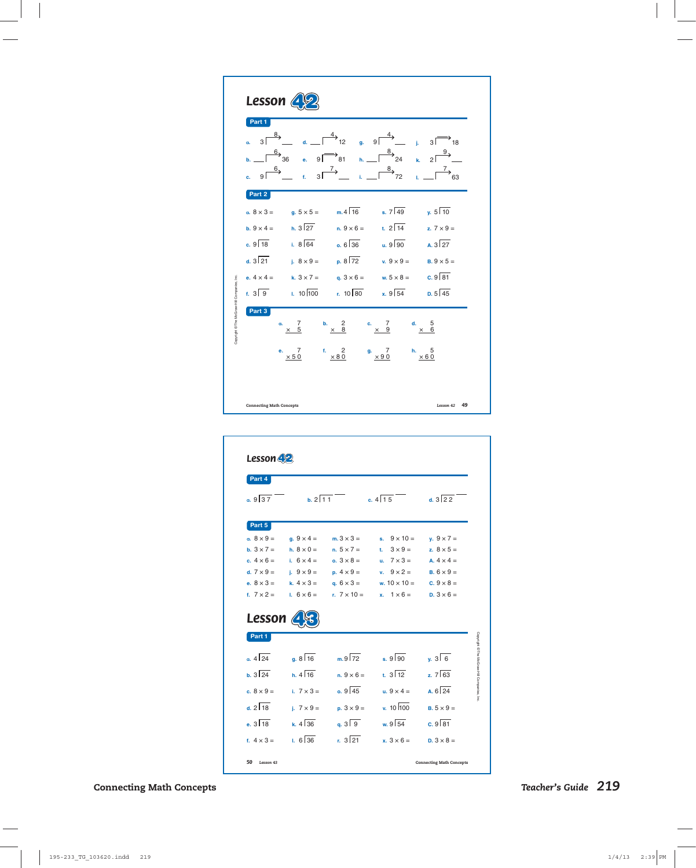| <b>Lesson</b>                                                                                                                                                                                                                                                                                                                                                                                                                                                                                                                                                                                                   |
|-----------------------------------------------------------------------------------------------------------------------------------------------------------------------------------------------------------------------------------------------------------------------------------------------------------------------------------------------------------------------------------------------------------------------------------------------------------------------------------------------------------------------------------------------------------------------------------------------------------------|
| Part 1<br>$\frac{8}{2}$<br>$\overline{4}$<br>$9\sqrt{ }$<br>$\overline{3}$<br>зГ<br>12<br>7<br>18<br>g.<br>d.<br>a.<br>ĵ.<br>$\frac{8}{7}$<br>$\rightarrow \frac{6}{36}$<br>9Г<br>$\overline{81}$<br>$\overline{2}$<br>24<br>$\ddot{\mathbf{e}}$ .<br>$h_{\rm m}$<br>k.<br>b.<br>$\frac{8}{7}$<br>$\rightarrow$<br>$6\rightarrow$<br>$\rightarrow$<br>3 <sup>5</sup><br>ا و<br>72<br>f.<br>ċ.                                                                                                                                                                                                                   |
| Part 2<br>$m.4\sqrt{16}$<br>$\sqrt{5}$ 10<br>$s. 7 \overline{49}$<br>a. $8 \times 3 =$<br>$q. 5 \times 5 =$<br>$h. 3\sqrt{27}$<br>t. $2\sqrt{14}$<br>b. $9 \times 4 =$<br>$n.9 \times 6 =$<br>z. $7 \times 9 =$<br>$c.9$ 18<br>$1.8\sqrt{64}$<br>$0.6\sqrt{36}$<br>$\overline{u}$ . 9 90<br>$A.3\sqrt{27}$<br>$d. 3\sqrt{21}$<br>$p. 8 \sqrt{72}$<br>i. $8 \times 9 =$<br>v. $9 \times 9 =$<br>$B.9 \times 5 =$<br>$c.9\sqrt{81}$<br>k. $3 \times 7 =$<br>e. $4 \times 4 =$<br>q. $3 \times 6 =$<br>w. $5 \times 8 =$<br>$x.9\sqrt{54}$<br>$1.10\sqrt{100}$<br>$r. 10$ 80<br>$f. 3 \sqrt{9}$<br>$D. 5\sqrt{45}$ |
| Copyright @ The McGraw-Hill Companies, Inc.<br>Part 3<br>7<br>2<br>7<br>5<br>b.<br>d.<br>a.<br>c.<br>5<br>8<br>$\boldsymbol{9}$<br>6<br>×<br>×<br>×<br>×<br>7<br>f.<br>2<br>$\overline{7}$<br>5<br>h.<br>e.<br>g.<br>$\times 50$<br>$\times 80$<br>$\times$ 90<br>$\times 60$<br>49<br>Lesson 42<br><b>Connecting Math Concepts</b>                                                                                                                                                                                                                                                                             |

| Part 4                                                                 |                      |                    |                              |                   |
|------------------------------------------------------------------------|----------------------|--------------------|------------------------------|-------------------|
| a.937                                                                  | $b. 2 \sqrt{11}$     |                    | c. $4\sqrt{15}$              | d. $3\sqrt{22}$   |
| Part 5                                                                 |                      |                    |                              |                   |
| $a. 8 \times 9 =$                                                      | $q.9 \times 4 =$     | $m.3 \times 3 =$   | $9 \times 10 =$<br>s.        | $y.9 \times 7 =$  |
| <b>b.</b> $3 \times 7 =$                                               | h. $8 \times 0 =$    | $n. 5 \times 7 =$  | $3 \times 9 =$<br>t.         | z. $8 \times 5 =$ |
| c. $4 \times 6 =$                                                      | i. $6 \times 4 =$    | $0.3 \times 8 =$   | $7 \times 3 =$<br>u.         | A. $4 \times 4 =$ |
| d. $7 \times 9 =$                                                      | i. $9 \times 9 =$    | $p. 4 \times 9 =$  | $9 \times 2 =$<br>v.         | $B.6 \times 9 =$  |
| e. $8 \times 3 =$                                                      | k. $4 \times 3 =$    | q. $6 \times 3 =$  | w. $10 \times 10 =$          | c. $9 \times 8 =$ |
| f. $7 \times 2 =$                                                      | 1. $6 \times 6 =$    | r. $7 \times 10 =$ | $1 \times 6 =$<br>x.         | $D.3 \times 6 =$  |
|                                                                        |                      |                    |                              |                   |
| Part 1                                                                 |                      |                    |                              |                   |
|                                                                        | $a. 8 \overline{16}$ | $mg\sqrt{72}$      | $.9\sqrt{90}$                | $\sqrt{36}$       |
|                                                                        | $h$ 4 16             | $n.9 \times 6 =$   | $\frac{1}{12}$ 3 $\sqrt{12}$ | $2.7\sqrt{63}$    |
| <b>Lesson</b><br>$0.4\sqrt{24}$<br>$h.3\sqrt{24}$<br>c. $8 \times 9 =$ | i. $7 \times 3 =$    | 0.9145             | $\mu$ . $9 \times 4 =$       | $6\sqrt{24}$      |
| $42\sqrt{18}$                                                          | i. $7 \times 9 =$    | $p.3 \times 9 =$   | $x. 10$ 100                  | $B.5 \times 9 =$  |
| $.3\sqrt{18}$                                                          | $k. 4 \sqrt{36}$     | $a. 3\sqrt{9}$     | w. $9\sqrt{54}$              | $c.9\sqrt{81}$    |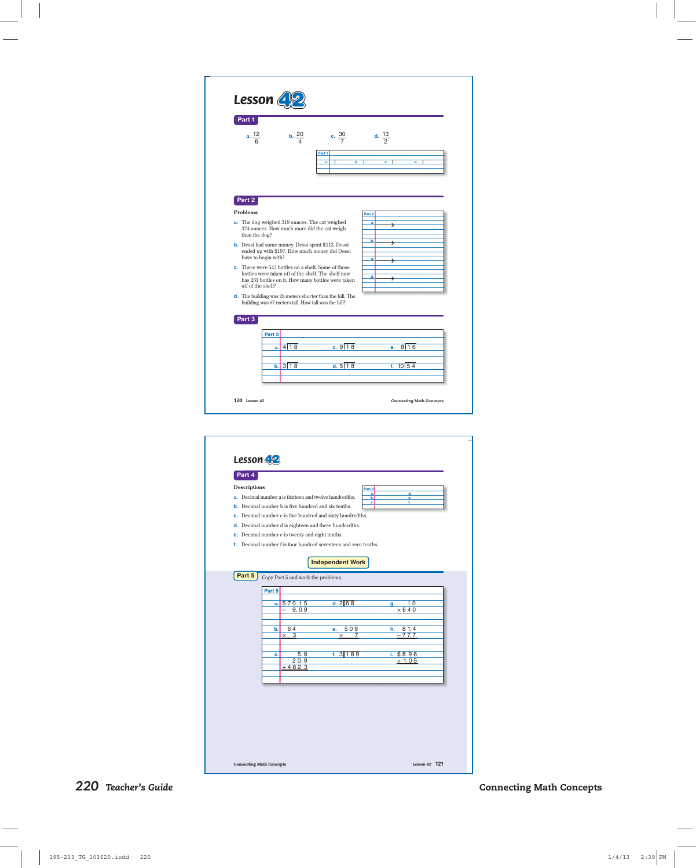| Part 1                                                                          |                                                     |                                                                                                          |                                 |
|---------------------------------------------------------------------------------|-----------------------------------------------------|----------------------------------------------------------------------------------------------------------|---------------------------------|
| $a. \frac{12}{6}$                                                               | $\frac{20}{4}$                                      | c. $\frac{30}{7}$<br>Part 1                                                                              | d. $\frac{13}{2}$               |
|                                                                                 |                                                     | a.                                                                                                       | ď.                              |
| Part 2                                                                          |                                                     |                                                                                                          |                                 |
| Problems                                                                        |                                                     |                                                                                                          | Part 2                          |
| a. The dog weighed 319 ounces. The cat weighed<br>than the dog?                 | 374 ounces. How much more did the cat weigh         |                                                                                                          | ä.<br>⇒                         |
| <b>b.</b> Dessi had some money. Dessi spent \$113. Dessi<br>have to begin with? |                                                     | ended up with \$197. How much money did Dessi                                                            | b.<br>د<br>c.<br>د              |
| c. There were 543 bottles on a shelf. Some of those<br>off of the shelf?        |                                                     | bottles were taken off of the shelf. The shelf now<br>has 261 bottles on it. How many bottles were taken | d.<br>د                         |
|                                                                                 | building was 67 meters tall. How tall was the hill? | d. The building was 28 meters shorter than the hill. The                                                 |                                 |
| Part 3                                                                          |                                                     |                                                                                                          |                                 |
| Part 3                                                                          |                                                     |                                                                                                          |                                 |
|                                                                                 | a. 4118                                             | c.918                                                                                                    | 8116<br>e.                      |
|                                                                                 | b. 3118                                             | d. 5118                                                                                                  | f. $10154$                      |
| 120 Lesson 42                                                                   |                                                     |                                                                                                          | <b>Connecting Math Concepts</b> |
|                                                                                 |                                                     |                                                                                                          |                                 |
|                                                                                 |                                                     |                                                                                                          |                                 |
|                                                                                 |                                                     |                                                                                                          |                                 |
|                                                                                 |                                                     |                                                                                                          |                                 |
| Lesson 42<br>Part 4<br><b>Descriptions</b>                                      |                                                     |                                                                                                          | Part 4                          |



**f.** Decimal number f is four hundred seventeen and zero tenths.

# **Part 5** Copy Part 5 and work the problems. **Independent Work Part 5 a.** \$ 7 0. 1 5 **d.** 2 6 8 **g. g.** 2 9. 0 9  $\frac{10}{ \times 640}$ **b.** 6 4 **e.** 5 0 9 **h.** 8 1. 4  $\frac{81.4}{77.7}$ **c.** 5. 8 **f.** 3 1 8 9 **i.** \$ 8. 9 6  $20.9 + 1.05$ <br>+482.3

**Connecting Math Concepts** *Lesson 42 <sup>121</sup>*